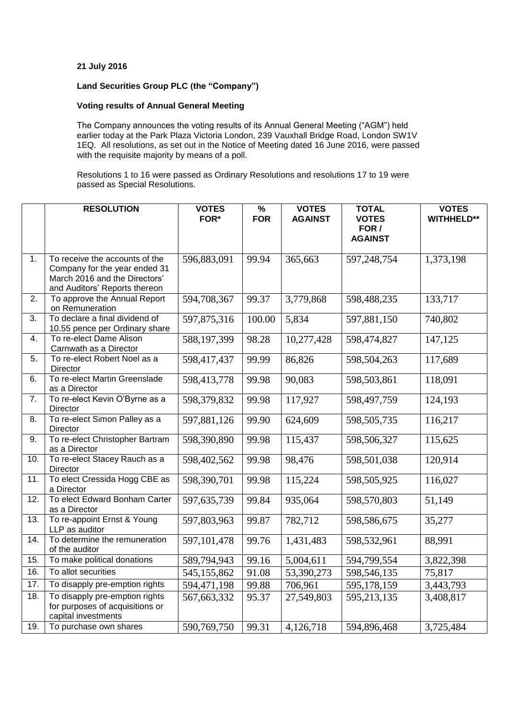## **21 July 2016**

# **Land Securities Group PLC (the "Company")**

### **Voting results of Annual General Meeting**

The Company announces the voting results of its Annual General Meeting ("AGM") held earlier today at the Park Plaza Victoria London, 239 Vauxhall Bridge Road, London SW1V 1EQ. All resolutions, as set out in the Notice of Meeting dated 16 June 2016, were passed with the requisite majority by means of a poll.

Resolutions 1 to 16 were passed as Ordinary Resolutions and resolutions 17 to 19 were passed as Special Resolutions.

|                   | <b>RESOLUTION</b>                                                                                                                 | <b>VOTES</b><br>FOR* | $\overline{\frac{9}{6}}$<br><b>FOR</b> | <b>VOTES</b><br><b>AGAINST</b> | <b>TOTAL</b><br><b>VOTES</b><br>FOR /<br><b>AGAINST</b> | <b>VOTES</b><br><b>WITHHELD**</b> |
|-------------------|-----------------------------------------------------------------------------------------------------------------------------------|----------------------|----------------------------------------|--------------------------------|---------------------------------------------------------|-----------------------------------|
| 1.                | To receive the accounts of the<br>Company for the year ended 31<br>March 2016 and the Directors'<br>and Auditors' Reports thereon | 596,883,091          | 99.94                                  | 365,663                        | 597,248,754                                             | 1,373,198                         |
| 2.                | To approve the Annual Report<br>on Remuneration                                                                                   | 594,708,367          | 99.37                                  | 3,779,868                      | 598,488,235                                             | 133,717                           |
| 3.                | To declare a final dividend of<br>10.55 pence per Ordinary share                                                                  | 597,875,316          | 100.00                                 | 5,834                          | 597,881,150                                             | 740,802                           |
| $\overline{4}$ .  | To re-elect Dame Alison<br>Carnwath as a Director                                                                                 | 588,197,399          | 98.28                                  | 10,277,428                     | 598,474,827                                             | 147,125                           |
| 5.                | To re-elect Robert Noel as a<br>Director                                                                                          | 598,417,437          | 99.99                                  | 86,826                         | 598,504,263                                             | 117,689                           |
| 6.                | To re-elect Martin Greenslade<br>as a Director                                                                                    | 598,413,778          | 99.98                                  | 90,083                         | 598,503,861                                             | 118,091                           |
| 7.                | To re-elect Kevin O'Byrne as a<br>Director                                                                                        | 598,379,832          | 99.98                                  | 117,927                        | 598,497,759                                             | 124,193                           |
| 8.                | To re-elect Simon Palley as a<br>Director                                                                                         | 597,881,126          | 99.90                                  | 624,609                        | 598,505,735                                             | 116,217                           |
| 9.                | To re-elect Christopher Bartram<br>as a Director                                                                                  | 598,390,890          | 99.98                                  | 115,437                        | 598,506,327                                             | 115,625                           |
| 10.               | To re-elect Stacey Rauch as a<br>Director                                                                                         | 598,402,562          | 99.98                                  | 98,476                         | 598,501,038                                             | 120,914                           |
| 11.               | To elect Cressida Hogg CBE as<br>a Director                                                                                       | 598,390,701          | 99.98                                  | 115,224                        | 598,505,925                                             | 116,027                           |
| $\overline{12}$ . | To elect Edward Bonham Carter<br>as a Director                                                                                    | 597,635,739          | 99.84                                  | 935,064                        | 598,570,803                                             | 51,149                            |
| 13.               | To re-appoint Ernst & Young<br>LLP as auditor                                                                                     | 597,803,963          | 99.87                                  | 782,712                        | 598,586,675                                             | 35,277                            |
| 14.               | To determine the remuneration<br>of the auditor                                                                                   | 597, 101, 478        | 99.76                                  | 1,431,483                      | 598,532,961                                             | 88,991                            |
| 15.               | To make political donations                                                                                                       | 589,794,943          | 99.16                                  | 5,004,611                      | 594,799,554                                             | 3,822,398                         |
| 16.               | To allot securities                                                                                                               | 545,155,862          | 91.08                                  | 53,390,273                     | 598,546,135                                             | 75,817                            |
| 17.               | To disapply pre-emption rights                                                                                                    | 594,471,198          | 99.88                                  | 706,961                        | 595,178,159                                             | 3,443,793                         |
| 18.               | To disapply pre-emption rights<br>for purposes of acquisitions or<br>capital investments                                          | 567,663,332          | 95.37                                  | 27,549,803                     | 595,213,135                                             | 3,408,817                         |
| 19.               | To purchase own shares                                                                                                            | 590,769,750          | 99.31                                  | 4,126,718                      | 594,896,468                                             | 3,725,484                         |